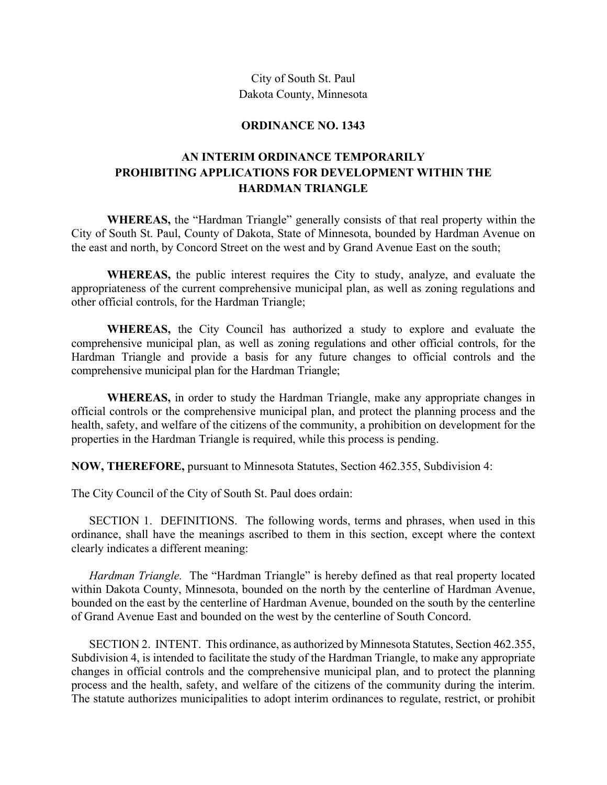City of South St. Paul Dakota County, Minnesota

## **ORDINANCE NO. 1343**

## **AN INTERIM ORDINANCE TEMPORARILY PROHIBITING APPLICATIONS FOR DEVELOPMENT WITHIN THE HARDMAN TRIANGLE**

 **WHEREAS,** the "Hardman Triangle" generally consists of that real property within the City of South St. Paul, County of Dakota, State of Minnesota, bounded by Hardman Avenue on the east and north, by Concord Street on the west and by Grand Avenue East on the south;

**WHEREAS,** the public interest requires the City to study, analyze, and evaluate the appropriateness of the current comprehensive municipal plan, as well as zoning regulations and other official controls, for the Hardman Triangle;

 **WHEREAS,** the City Council has authorized a study to explore and evaluate the comprehensive municipal plan, as well as zoning regulations and other official controls, for the Hardman Triangle and provide a basis for any future changes to official controls and the comprehensive municipal plan for the Hardman Triangle;

 **WHEREAS,** in order to study the Hardman Triangle, make any appropriate changes in official controls or the comprehensive municipal plan, and protect the planning process and the health, safety, and welfare of the citizens of the community, a prohibition on development for the properties in the Hardman Triangle is required, while this process is pending.

**NOW, THEREFORE,** pursuant to Minnesota Statutes, Section 462.355, Subdivision 4:

The City Council of the City of South St. Paul does ordain:

SECTION 1. DEFINITIONS. The following words, terms and phrases, when used in this ordinance, shall have the meanings ascribed to them in this section, except where the context clearly indicates a different meaning:

*Hardman Triangle.* The "Hardman Triangle" is hereby defined as that real property located within Dakota County, Minnesota, bounded on the north by the centerline of Hardman Avenue, bounded on the east by the centerline of Hardman Avenue, bounded on the south by the centerline of Grand Avenue East and bounded on the west by the centerline of South Concord.

SECTION 2. INTENT. This ordinance, as authorized by Minnesota Statutes, Section 462.355, Subdivision 4, is intended to facilitate the study of the Hardman Triangle, to make any appropriate changes in official controls and the comprehensive municipal plan, and to protect the planning process and the health, safety, and welfare of the citizens of the community during the interim. The statute authorizes municipalities to adopt interim ordinances to regulate, restrict, or prohibit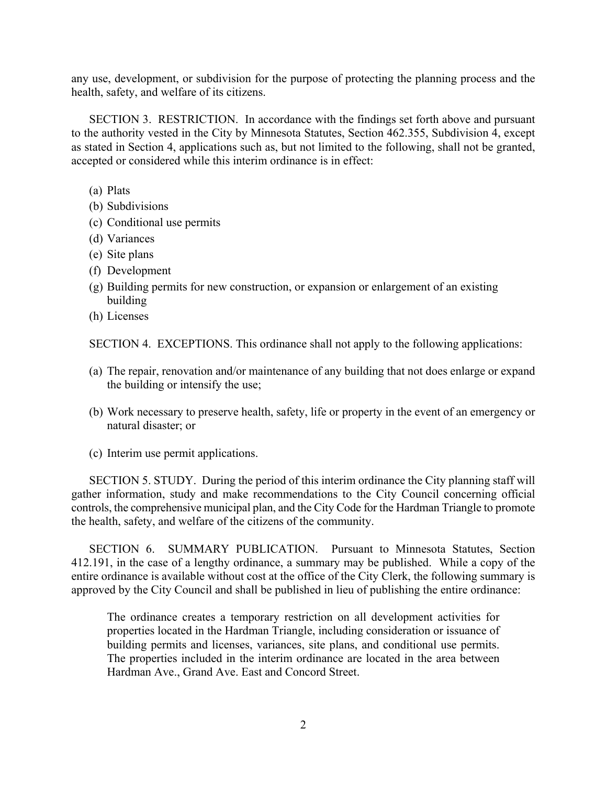any use, development, or subdivision for the purpose of protecting the planning process and the health, safety, and welfare of its citizens.

SECTION 3. RESTRICTION. In accordance with the findings set forth above and pursuant to the authority vested in the City by Minnesota Statutes, Section 462.355, Subdivision 4, except as stated in Section 4, applications such as, but not limited to the following, shall not be granted, accepted or considered while this interim ordinance is in effect:

- (a) Plats
- (b) Subdivisions
- (c) Conditional use permits
- (d) Variances
- (e) Site plans
- (f) Development
- (g) Building permits for new construction, or expansion or enlargement of an existing building
- (h) Licenses

SECTION 4. EXCEPTIONS. This ordinance shall not apply to the following applications:

- (a) The repair, renovation and/or maintenance of any building that not does enlarge or expand the building or intensify the use;
- (b) Work necessary to preserve health, safety, life or property in the event of an emergency or natural disaster; or
- (c) Interim use permit applications.

SECTION 5. STUDY. During the period of this interim ordinance the City planning staff will gather information, study and make recommendations to the City Council concerning official controls, the comprehensive municipal plan, and the City Code for the Hardman Triangle to promote the health, safety, and welfare of the citizens of the community.

SECTION 6. SUMMARY PUBLICATION. Pursuant to Minnesota Statutes, Section 412.191, in the case of a lengthy ordinance, a summary may be published. While a copy of the entire ordinance is available without cost at the office of the City Clerk, the following summary is approved by the City Council and shall be published in lieu of publishing the entire ordinance:

The ordinance creates a temporary restriction on all development activities for properties located in the Hardman Triangle, including consideration or issuance of building permits and licenses, variances, site plans, and conditional use permits. The properties included in the interim ordinance are located in the area between Hardman Ave., Grand Ave. East and Concord Street.